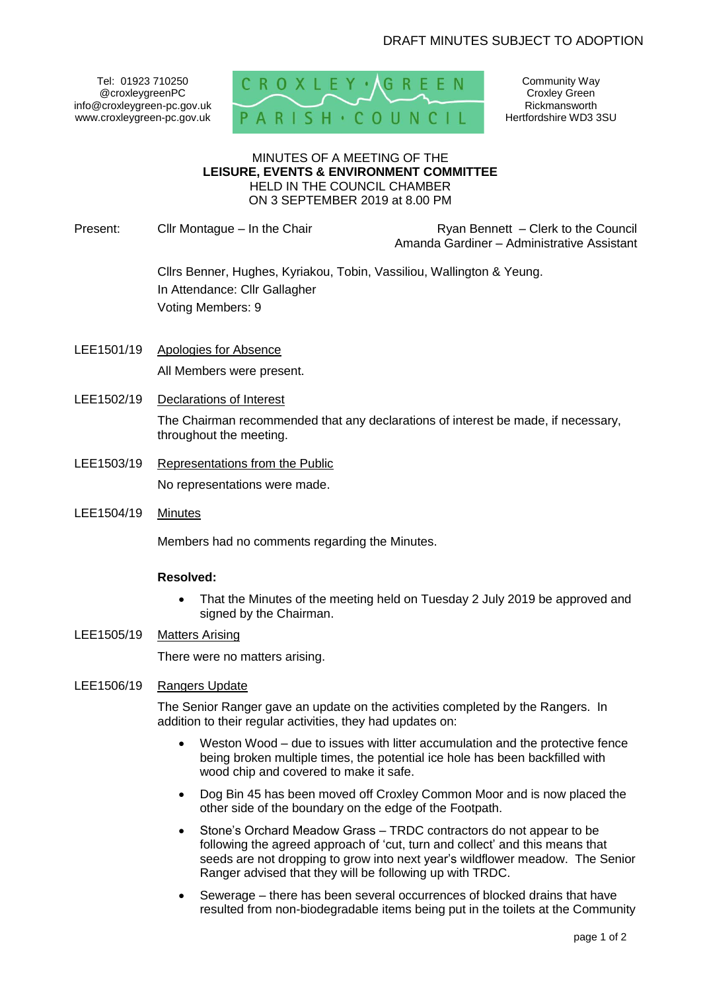Tel: 01923 710250 @croxleygreenPC info@croxleygreen-pc.gov.uk www.croxleygreen-pc.gov.uk



Community Way Croxley Green Rickmansworth Hertfordshire WD3 3SU

#### MINUTES OF A MEETING OF THE **LEISURE, EVENTS & ENVIRONMENT COMMITTEE** HELD IN THE COUNCIL CHAMBER ON 3 SEPTEMBER 2019 at 8.00 PM

Present: Clir Montague – In the Chair **Reserve and Ryan Bennett – Clerk to the Council** Amanda Gardiner – Administrative Assistant

> Cllrs Benner, Hughes, Kyriakou, Tobin, Vassiliou, Wallington & Yeung. In Attendance: Cllr Gallagher Voting Members: 9

- LEE1501/19 Apologies for Absence All Members were present.
- LEE1502/19 Declarations of Interest The Chairman recommended that any declarations of interest be made, if necessary, throughout the meeting.
- LEE1503/19 Representations from the Public No representations were made.
- LEE1504/19 Minutes

Members had no comments regarding the Minutes.

# **Resolved:**

- That the Minutes of the meeting held on Tuesday 2 July 2019 be approved and signed by the Chairman.
- LEE1505/19 Matters Arising

There were no matters arising.

LEE1506/19 Rangers Update

The Senior Ranger gave an update on the activities completed by the Rangers. In addition to their regular activities, they had updates on:

- Weston Wood due to issues with litter accumulation and the protective fence being broken multiple times, the potential ice hole has been backfilled with wood chip and covered to make it safe.
- Dog Bin 45 has been moved off Croxley Common Moor and is now placed the other side of the boundary on the edge of the Footpath.
- Stone's Orchard Meadow Grass TRDC contractors do not appear to be following the agreed approach of 'cut, turn and collect' and this means that seeds are not dropping to grow into next year's wildflower meadow. The Senior Ranger advised that they will be following up with TRDC.
- Sewerage there has been several occurrences of blocked drains that have resulted from non-biodegradable items being put in the toilets at the Community